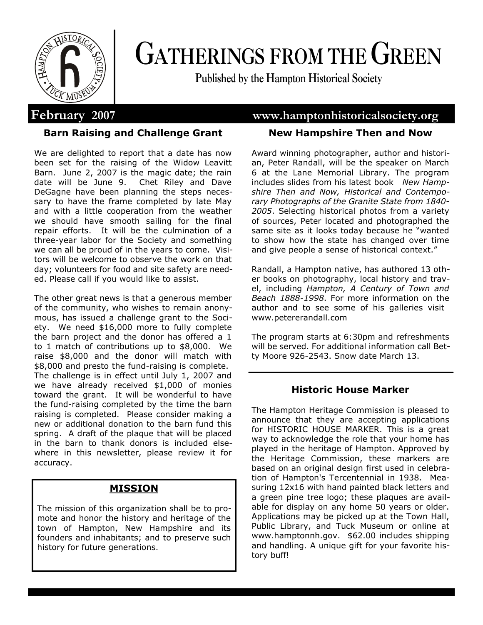

# **GATHERINGS FROM THE GREEN**

**Published by the Hampton Historical Society**

# **Barn Raising and Challenge Grant**

We are delighted to report that a date has now been set for the raising of the Widow Leavitt Barn. June 2, 2007 is the magic date; the rain date will be June 9. Chet Riley and Dave DeGagne have been planning the steps necessary to have the frame completed by late May and with a little cooperation from the weather we should have smooth sailing for the final repair efforts. It will be the culmination of a three-year labor for the Society and something we can all be proud of in the years to come. Visitors will be welcome to observe the work on that day; volunteers for food and site safety are needed. Please call if you would like to assist.

The other great news is that a generous member of the community, who wishes to remain anonymous, has issued a challenge grant to the Society. We need \$16,000 more to fully complete the barn project and the donor has offered a 1 to 1 match of contributions up to \$8,000. We raise \$8,000 and the donor will match with \$8,000 and presto the fund-raising is complete. The challenge is in effect until July 1, 2007 and we have already received \$1,000 of monies toward the grant. It will be wonderful to have the fund-raising completed by the time the barn raising is completed. Please consider making a new or additional donation to the barn fund this spring. A draft of the plaque that will be placed in the barn to thank donors is included elsewhere in this newsletter, please review it for accuracy.

# **MISSION**

The mission of this organization shall be to promote and honor the history and heritage of the town of Hampton, New Hampshire and its founders and inhabitants; and to preserve such history for future generations.

# **February 2007 www.hamptonhistoricalsociety.org**

# **New Hampshire Then and Now**

Award winning photographer, author and historian, Peter Randall, will be the speaker on March 6 at the Lane Memorial Library. The program includes slides from his latest book *New Hampshire Then and Now, Historical and Contemporary Photographs of the Granite State from 1840- 2005*. Selecting historical photos from a variety of sources, Peter located and photographed the same site as it looks today because he "wanted to show how the state has changed over time and give people a sense of historical context."

Randall, a Hampton native, has authored 13 other books on photography, local history and travel, including *Hampton, A Century of Town and Beach 1888-1998*. For more information on the author and to see some of his galleries visit www.petererandall.com

The program starts at 6:30pm and refreshments will be served. For additional information call Betty Moore 926-2543. Snow date March 13.

# **Historic House Marker**

The Hampton Heritage Commission is pleased to announce that they are accepting applications for HISTORIC HOUSE MARKER. This is a great way to acknowledge the role that your home has played in the heritage of Hampton. Approved by the Heritage Commission, these markers are based on an original design first used in celebration of Hampton's Tercentennial in 1938. Measuring 12x16 with hand painted black letters and a green pine tree logo; these plaques are available for display on any home 50 years or older. Applications may be picked up at the Town Hall, Public Library, and Tuck Museum or online at www.hamptonnh.gov. \$62.00 includes shipping and handling. A unique gift for your favorite history buff!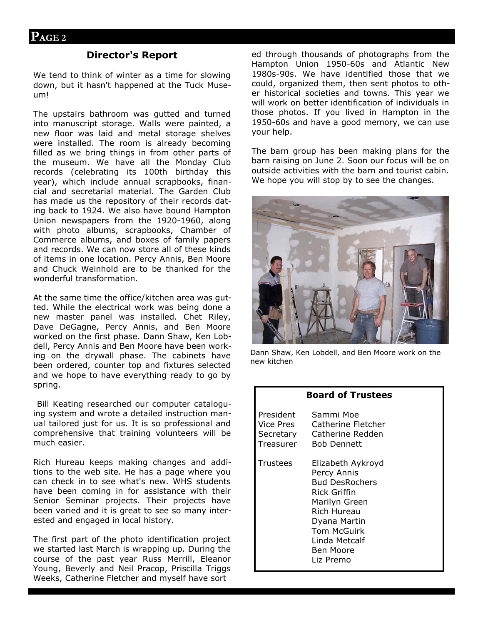### **Director's Report**

We tend to think of winter as a time for slowing down, but it hasn't happened at the Tuck Museum!

The upstairs bathroom was gutted and turned into manuscript storage. Walls were painted, a new floor was laid and metal storage shelves were installed. The room is already becoming filled as we bring things in from other parts of the museum. We have all the Monday Club records (celebrating its 100th birthday this year), which include annual scrapbooks, financial and secretarial material. The Garden Club has made us the repository of their records dating back to 1924. We also have bound Hampton Union newspapers from the 1920-1960, along with photo albums, scrapbooks, Chamber of Commerce albums, and boxes of family papers and records. We can now store all of these kinds of items in one location. Percy Annis, Ben Moore and Chuck Weinhold are to be thanked for the wonderful transformation.

At the same time the office/kitchen area was gutted. While the electrical work was being done a new master panel was installed. Chet Riley, Dave DeGagne, Percy Annis, and Ben Moore worked on the first phase. Dann Shaw, Ken Lobdell, Percy Annis and Ben Moore have been working on the drywall phase. The cabinets have been ordered, counter top and fixtures selected and we hope to have everything ready to go by spring.

 Bill Keating researched our computer cataloguing system and wrote a detailed instruction manual tailored just for us. It is so professional and comprehensive that training volunteers will be much easier.

Rich Hureau keeps making changes and additions to the web site. He has a page where you can check in to see what's new. WHS students have been coming in for assistance with their Senior Seminar projects. Their projects have been varied and it is great to see so many interested and engaged in local history.

The first part of the photo identification project we started last March is wrapping up. During the course of the past year Russ Merrill, Eleanor Young, Beverly and Neil Pracop, Priscilla Triggs Weeks, Catherine Fletcher and myself have sort

ed through thousands of photographs from the Hampton Union 1950-60s and Atlantic New 1980s-90s. We have identified those that we could, organized them, then sent photos to other historical societies and towns. This year we will work on better identification of individuals in those photos. If you lived in Hampton in the 1950-60s and have a good memory, we can use your help.

The barn group has been making plans for the barn raising on June 2. Soon our focus will be on outside activities with the barn and tourist cabin. We hope you will stop by to see the changes.



Dann Shaw, Ken Lobdell, and Ben Moore work on the new kitchen

| <b>Board of Trustees</b>            |                                                                                                                                                                                     |
|-------------------------------------|-------------------------------------------------------------------------------------------------------------------------------------------------------------------------------------|
| President<br>Vice Pres<br>Treasurer | Sammi Moe<br>Catherine Fletcher<br>Secretary Catherine Redden<br><b>Bob Dennett</b>                                                                                                 |
| Trustees                            | Elizabeth Aykroyd<br>Percy Annis<br><b>Bud DesRochers</b><br>Rick Griffin<br>Marilyn Green<br>Rich Hureau<br>Dyana Martin<br>Tom McGuirk<br>Linda Metcalf<br>Ben Moore<br>Liz Premo |
|                                     |                                                                                                                                                                                     |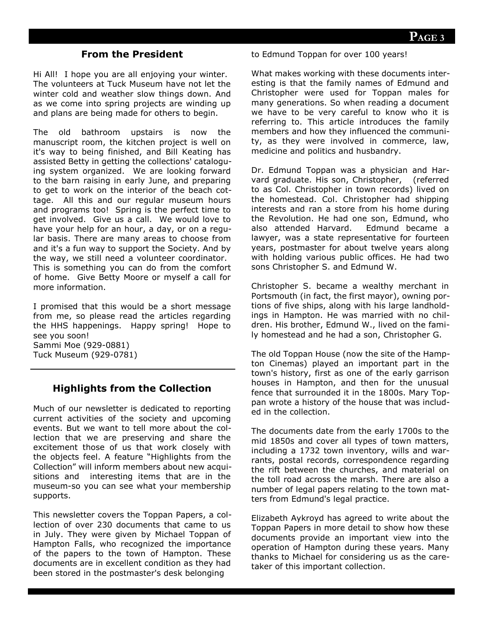# **From the President**

Hi All! I hope you are all enjoying your winter. The volunteers at Tuck Museum have not let the winter cold and weather slow things down. And as we come into spring projects are winding up and plans are being made for others to begin.

The old bathroom upstairs is now the manuscript room, the kitchen project is well on it's way to being finished, and Bill Keating has assisted Betty in getting the collections' cataloguing system organized. We are looking forward to the barn raising in early June, and preparing to get to work on the interior of the beach cottage. All this and our regular museum hours and programs too! Spring is the perfect time to get involved. Give us a call. We would love to have your help for an hour, a day, or on a regular basis. There are many areas to choose from and it's a fun way to support the Society. And by the way, we still need a volunteer coordinator. This is something you can do from the comfort of home. Give Betty Moore or myself a call for more information.

I promised that this would be a short message from me, so please read the articles regarding the HHS happenings. Happy spring! Hope to see you soon! Sammi Moe (929-0881) Tuck Museum (929-0781)

# **Highlights from the Collection**

Much of our newsletter is dedicated to reporting current activities of the society and upcoming events. But we want to tell more about the collection that we are preserving and share the excitement those of us that work closely with the objects feel. A feature "Highlights from the Collection" will inform members about new acquisitions and interesting items that are in the museum-so you can see what your membership supports.

This newsletter covers the Toppan Papers, a collection of over 230 documents that came to us in July. They were given by Michael Toppan of Hampton Falls, who recognized the importance of the papers to the town of Hampton. These documents are in excellent condition as they had been stored in the postmaster's desk belonging

to Edmund Toppan for over 100 years!

What makes working with these documents interesting is that the family names of Edmund and Christopher were used for Toppan males for many generations. So when reading a document we have to be very careful to know who it is referring to. This article introduces the family members and how they influenced the community, as they were involved in commerce, law, medicine and politics and husbandry.

Dr. Edmund Toppan was a physician and Harvard graduate. His son, Christopher, (referred to as Col. Christopher in town records) lived on the homestead. Col. Christopher had shipping interests and ran a store from his home during the Revolution. He had one son, Edmund, who also attended Harvard. Edmund became a lawyer, was a state representative for fourteen years, postmaster for about twelve years along with holding various public offices. He had two sons Christopher S. and Edmund W.

Christopher S. became a wealthy merchant in Portsmouth (in fact, the first mayor), owning portions of five ships, along with his large landholdings in Hampton. He was married with no children. His brother, Edmund W., lived on the family homestead and he had a son, Christopher G.

The old Toppan House (now the site of the Hampton Cinemas) played an important part in the town's history, first as one of the early garrison houses in Hampton, and then for the unusual fence that surrounded it in the 1800s. Mary Toppan wrote a history of the house that was included in the collection.

The documents date from the early 1700s to the mid 1850s and cover all types of town matters, including a 1732 town inventory, wills and warrants, postal records, correspondence regarding the rift between the churches, and material on the toll road across the marsh. There are also a number of legal papers relating to the town matters from Edmund's legal practice.

Elizabeth Aykroyd has agreed to write about the Toppan Papers in more detail to show how these documents provide an important view into the operation of Hampton during these years. Many thanks to Michael for considering us as the caretaker of this important collection.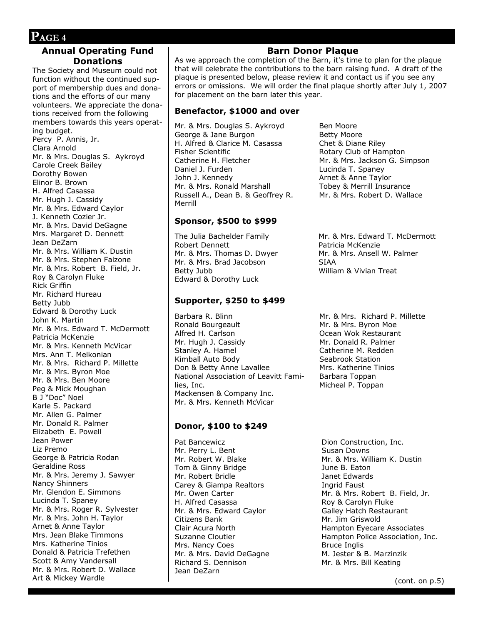#### **Annual Operating Fund Donations**

The Society and Museum could not function without the continued support of membership dues and donations and the efforts of our many volunteers. We appreciate the donations received from the following members towards this years operating budget. Percy P. Annis, Jr. Clara Arnold Mr. & Mrs. Douglas S. Aykroyd Carole Creek Bailey Dorothy Bowen Elinor B. Brown H. Alfred Casassa Mr. Hugh J. Cassidy Mr. & Mrs. Edward Caylor J. Kenneth Cozier Jr. Mr. & Mrs. David DeGagne Mrs. Margaret D. Dennett Jean DeZarn Mr. & Mrs. William K. Dustin Mr. & Mrs. Stephen Falzone Mr. & Mrs. Robert B. Field, Jr. Roy & Carolyn Fluke Rick Griffin Mr. Richard Hureau Betty Jubb Edward & Dorothy Luck John K. Martin Mr. & Mrs. Edward T. McDermott Patricia McKenzie Mr. & Mrs. Kenneth McVicar Mrs. Ann T. Melkonian Mr. & Mrs. Richard P. Millette Mr. & Mrs. Byron Moe Mr. & Mrs. Ben Moore Peg & Mick Moughan B J "Doc" Noel Karle S. Packard Mr. Allen G. Palmer Mr. Donald R. Palmer Elizabeth E. Powell Jean Power Liz Premo George & Patricia Rodan Geraldine Ross Mr. & Mrs. Jeremy J. Sawyer Nancy Shinners Mr. Glendon E. Simmons Lucinda T. Spaney Mr. & Mrs. Roger R. Sylvester Mr. & Mrs. John H. Taylor Arnet & Anne Taylor Mrs. Jean Blake Timmons Mrs. Katherine Tinios Donald & Patricia Trefethen Scott & Amy Vandersall Mr. & Mrs. Robert D. Wallace Art & Mickey Wardle

#### **Barn Donor Plaque**

As we approach the completion of the Barn, it's time to plan for the plaque that will celebrate the contributions to the barn raising fund. A draft of the plaque is presented below, please review it and contact us if you see any errors or omissions. We will order the final plaque shortly after July 1, 2007 for placement on the barn later this year.

#### **Benefactor, \$1000 and over**

Mr. & Mrs. Douglas S. Aykroyd George & Jane Burgon H. Alfred & Clarice M. Casassa Fisher Scientific Catherine H. Fletcher Daniel J. Furden John J. Kennedy Mr. & Mrs. Ronald Marshall Russell A., Dean B. & Geoffrey R. Merrill

#### **Sponsor, \$500 to \$999**

The Julia Bachelder Family Robert Dennett Mr. & Mrs. Thomas D. Dwyer Mr. & Mrs. Brad Jacobson Betty Jubb Edward & Dorothy Luck

#### **Supporter, \$250 to \$499**

Barbara R. Blinn Ronald Bourgeault Alfred H. Carlson Mr. Hugh J. Cassidy Stanley A. Hamel Kimball Auto Body Don & Betty Anne Lavallee National Association of Leavitt Families, Inc. Mackensen & Company Inc. Mr. & Mrs. Kenneth McVicar

#### **Donor, \$100 to \$249**

Pat Bancewicz Mr. Perry L. Bent Mr. Robert W. Blake Tom & Ginny Bridge Mr. Robert Bridle Carey & Giampa Realtors Mr. Owen Carter H. Alfred Casassa Mr. & Mrs. Edward Caylor Citizens Bank Clair Acura North Suzanne Cloutier Mrs. Nancy Coes Mr. & Mrs. David DeGagne Richard S. Dennison Jean DeZarn

Ben Moore Betty Moore Chet & Diane Riley Rotary Club of Hampton Mr. & Mrs. Jackson G. Simpson Lucinda T. Spaney Arnet & Anne Taylor Tobey & Merrill Insurance Mr. & Mrs. Robert D. Wallace

Mr. & Mrs. Edward T. McDermott Patricia McKenzie Mr. & Mrs. Ansell W. Palmer SIAA William & Vivian Treat

Mr. & Mrs. Richard P. Millette Mr. & Mrs. Byron Moe Ocean Wok Restaurant Mr. Donald R. Palmer Catherine M. Redden Seabrook Station Mrs. Katherine Tinios Barbara Toppan Micheal P. Toppan

Dion Construction, Inc. Susan Downs Mr. & Mrs. William K. Dustin June B. Eaton Janet Edwards Ingrid Faust Mr. & Mrs. Robert B. Field, Jr. Roy & Carolyn Fluke Galley Hatch Restaurant Mr. Jim Griswold Hampton Eyecare Associates Hampton Police Association, Inc. Bruce Inglis M. Jester & B. Marzinzik Mr. & Mrs. Bill Keating

(cont. on p.5)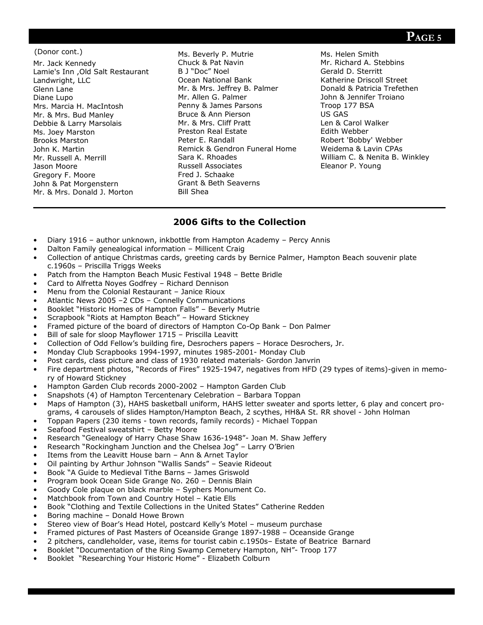# **PAGE 5**

#### (Donor cont.)

Mr. Jack Kennedy Lamie's Inn ,Old Salt Restaurant Landwright, LLC Glenn Lane Diane Lupo Mrs. Marcia H. MacIntosh Mr. & Mrs. Bud Manley Debbie & Larry Marsolais Ms. Joey Marston Brooks Marston John K. Martin Mr. Russell A. Merrill Jason Moore Gregory F. Moore John & Pat Morgenstern Mr. & Mrs. Donald J. Morton

Ms. Beverly P. Mutrie Chuck & Pat Navin B J "Doc" Noel Ocean National Bank Mr. & Mrs. Jeffrey B. Palmer Mr. Allen G. Palmer Penny & James Parsons Bruce & Ann Pierson Mr. & Mrs. Cliff Pratt Preston Real Estate Peter E. Randall Remick & Gendron Funeral Home Sara K. Rhoades Russell Associates Fred J. Schaake Grant & Beth Seaverns Bill Shea

Ms. Helen Smith Mr. Richard A. Stebbins Gerald D. Sterritt Katherine Driscoll Street Donald & Patricia Trefethen John & Jennifer Troiano Troop 177 BSA US GAS Len & Carol Walker Edith Webber Robert 'Bobby' Webber Weidema & Lavin CPAs William C. & Nenita B. Winkley Eleanor P. Young

## **2006 Gifts to the Collection**

- Diary 1916 author unknown, inkbottle from Hampton Academy Percy Annis
- Dalton Family genealogical information Millicent Craig
- Collection of antique Christmas cards, greeting cards by Bernice Palmer, Hampton Beach souvenir plate c.1960s – Priscilla Triggs Weeks
- Patch from the Hampton Beach Music Festival 1948 Bette Bridle
- Card to Alfretta Noyes Godfrey Richard Dennison
- Menu from the Colonial Restaurant Janice Rioux
- Atlantic News 2005 –2 CDs Connelly Communications
- Booklet "Historic Homes of Hampton Falls" Beverly Mutrie
- Scrapbook "Riots at Hampton Beach" Howard Stickney
- Framed picture of the board of directors of Hampton Co-Op Bank Don Palmer
- Bill of sale for sloop Mayflower 1715 Priscilla Leavitt
- Collection of Odd Fellow's building fire, Desrochers papers Horace Desrochers, Jr.
- Monday Club Scrapbooks 1994-1997, minutes 1985-2001- Monday Club
- Post cards, class picture and class of 1930 related materials- Gordon Janvrin
- Fire department photos, "Records of Fires" 1925-1947, negatives from HFD (29 types of items)-given in memory of Howard Stickney
- Hampton Garden Club records 2000-2002 Hampton Garden Club
- Snapshots (4) of Hampton Tercentenary Celebration Barbara Toppan
- Maps of Hampton (3), HAHS basketball uniform, HAHS letter sweater and sports letter, 6 play and concert programs, 4 carousels of slides Hampton/Hampton Beach, 2 scythes, HH&A St. RR shovel - John Holman
- Toppan Papers (230 items town records, family records) Michael Toppan
- Seafood Festival sweatshirt Betty Moore
- Research "Genealogy of Harry Chase Shaw 1636-1948"- Joan M. Shaw Jeffery
- Research "Rockingham Junction and the Chelsea Jog" Larry O'Brien
- Items from the Leavitt House barn Ann & Arnet Taylor
- Oil painting by Arthur Johnson "Wallis Sands" Seavie Rideout
- Book "A Guide to Medieval Tithe Barns James Griswold
- Program book Ocean Side Grange No. 260 Dennis Blain
- Goody Cole plaque on black marble Syphers Monument Co.
- Matchbook from Town and Country Hotel Katie Ells
- Book "Clothing and Textile Collections in the United States" Catherine Redden
- Boring machine Donald Howe Brown
- Stereo view of Boar's Head Hotel, postcard Kelly's Motel museum purchase
- Framed pictures of Past Masters of Oceanside Grange 1897-1988 Oceanside Grange
- 2 pitchers, candleholder, vase, items for tourist cabin c.1950s– Estate of Beatrice Barnard
- Booklet "Documentation of the Ring Swamp Cemetery Hampton, NH"- Troop 177
- Booklet "Researching Your Historic Home" Elizabeth Colburn